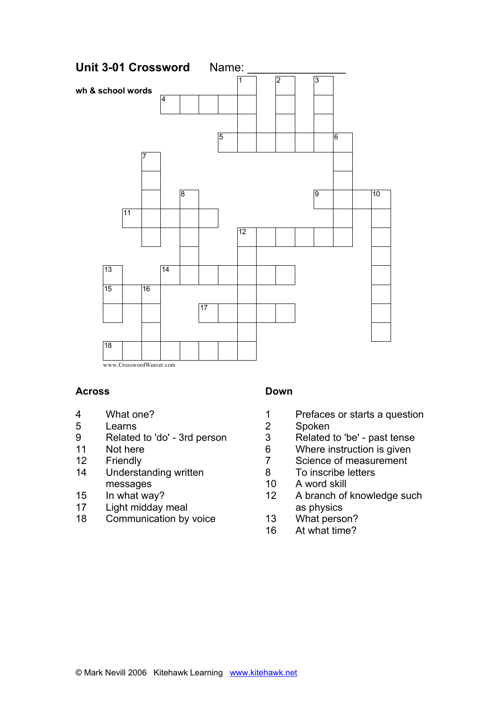

### **Across**

- 4 What one?
- 5 Learns
- 9 Related to 'do' 3rd person
- 11 Not here
- 12 Friendly
- 14 Understanding written messages
- 15 In what way?
- 17 Light midday meal
- 18 Communication by voice

# **Down**

- 1 Prefaces or starts a question
- 2 Spoken
- 3 Related to 'be' past tense
- 6 Where instruction is given
- 7 Science of measurement
- 8 To inscribe letters
- 10 A word skill
- 12 A branch of knowledge such as physics
- 13 What person?
- 16 At what time?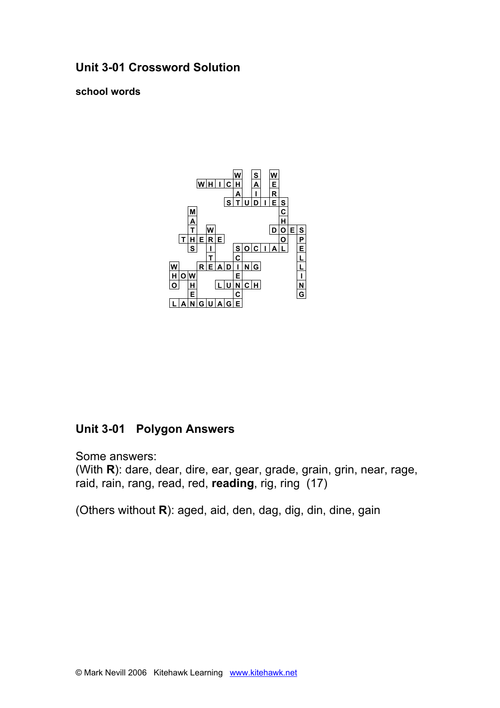# **Unit 3-01 Crossword Solution**

**school words**



# **Unit 3-01 Polygon Answers**

Some answers:

(With **R**): dare, dear, dire, ear, gear, grade, grain, grin, near, rage, raid, rain, rang, read, red, **reading**, rig, ring (17)

(Others without **R**): aged, aid, den, dag, dig, din, dine, gain